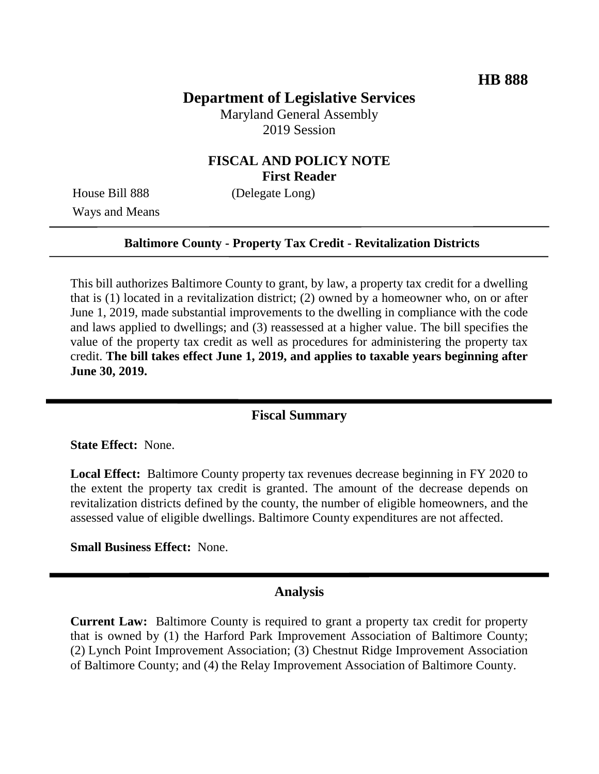# **Department of Legislative Services**

Maryland General Assembly 2019 Session

## **FISCAL AND POLICY NOTE First Reader**

Ways and Means

House Bill 888 (Delegate Long)

### **Baltimore County - Property Tax Credit - Revitalization Districts**

This bill authorizes Baltimore County to grant, by law, a property tax credit for a dwelling that is (1) located in a revitalization district; (2) owned by a homeowner who, on or after June 1, 2019, made substantial improvements to the dwelling in compliance with the code and laws applied to dwellings; and (3) reassessed at a higher value. The bill specifies the value of the property tax credit as well as procedures for administering the property tax credit. **The bill takes effect June 1, 2019, and applies to taxable years beginning after June 30, 2019.**

### **Fiscal Summary**

**State Effect:** None.

**Local Effect:** Baltimore County property tax revenues decrease beginning in FY 2020 to the extent the property tax credit is granted. The amount of the decrease depends on revitalization districts defined by the county, the number of eligible homeowners, and the assessed value of eligible dwellings. Baltimore County expenditures are not affected.

**Small Business Effect:** None.

#### **Analysis**

**Current Law:** Baltimore County is required to grant a property tax credit for property that is owned by (1) the Harford Park Improvement Association of Baltimore County; (2) Lynch Point Improvement Association; (3) Chestnut Ridge Improvement Association of Baltimore County; and (4) the Relay Improvement Association of Baltimore County.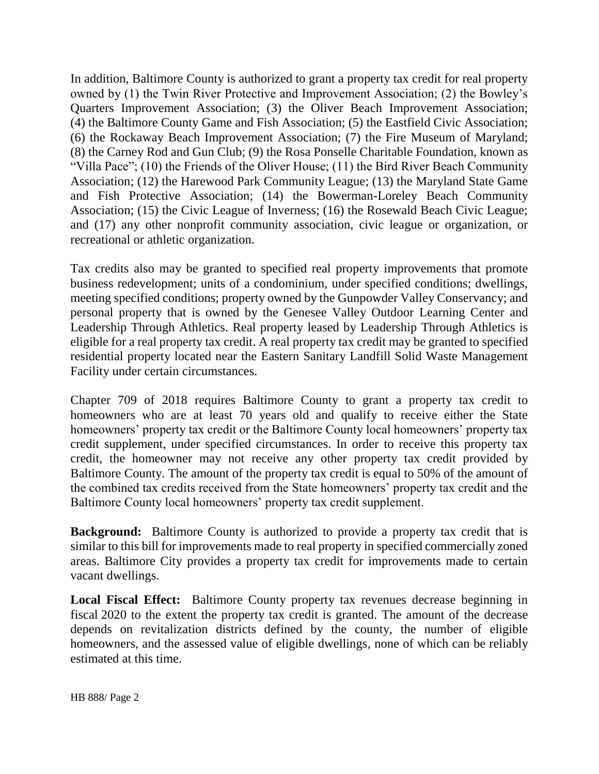In addition, Baltimore County is authorized to grant a property tax credit for real property owned by (1) the Twin River Protective and Improvement Association; (2) the Bowley's Quarters Improvement Association; (3) the Oliver Beach Improvement Association; (4) the Baltimore County Game and Fish Association; (5) the Eastfield Civic Association; (6) the Rockaway Beach Improvement Association; (7) the Fire Museum of Maryland; (8) the Carney Rod and Gun Club; (9) the Rosa Ponselle Charitable Foundation, known as "Villa Pace"; (10) the Friends of the Oliver House; (11) the Bird River Beach Community Association; (12) the Harewood Park Community League; (13) the Maryland State Game and Fish Protective Association; (14) the Bowerman-Loreley Beach Community Association; (15) the Civic League of Inverness; (16) the Rosewald Beach Civic League; and (17) any other nonprofit community association, civic league or organization, or recreational or athletic organization.

Tax credits also may be granted to specified real property improvements that promote business redevelopment; units of a condominium, under specified conditions; dwellings, meeting specified conditions; property owned by the Gunpowder Valley Conservancy; and personal property that is owned by the Genesee Valley Outdoor Learning Center and Leadership Through Athletics. Real property leased by Leadership Through Athletics is eligible for a real property tax credit. A real property tax credit may be granted to specified residential property located near the Eastern Sanitary Landfill Solid Waste Management Facility under certain circumstances.

Chapter 709 of 2018 requires Baltimore County to grant a property tax credit to homeowners who are at least 70 years old and qualify to receive either the State homeowners' property tax credit or the Baltimore County local homeowners' property tax credit supplement, under specified circumstances. In order to receive this property tax credit, the homeowner may not receive any other property tax credit provided by Baltimore County. The amount of the property tax credit is equal to 50% of the amount of the combined tax credits received from the State homeowners' property tax credit and the Baltimore County local homeowners' property tax credit supplement.

**Background:** Baltimore County is authorized to provide a property tax credit that is similar to this bill for improvements made to real property in specified commercially zoned areas. Baltimore City provides a property tax credit for improvements made to certain vacant dwellings.

**Local Fiscal Effect:** Baltimore County property tax revenues decrease beginning in fiscal 2020 to the extent the property tax credit is granted. The amount of the decrease depends on revitalization districts defined by the county, the number of eligible homeowners, and the assessed value of eligible dwellings, none of which can be reliably estimated at this time.